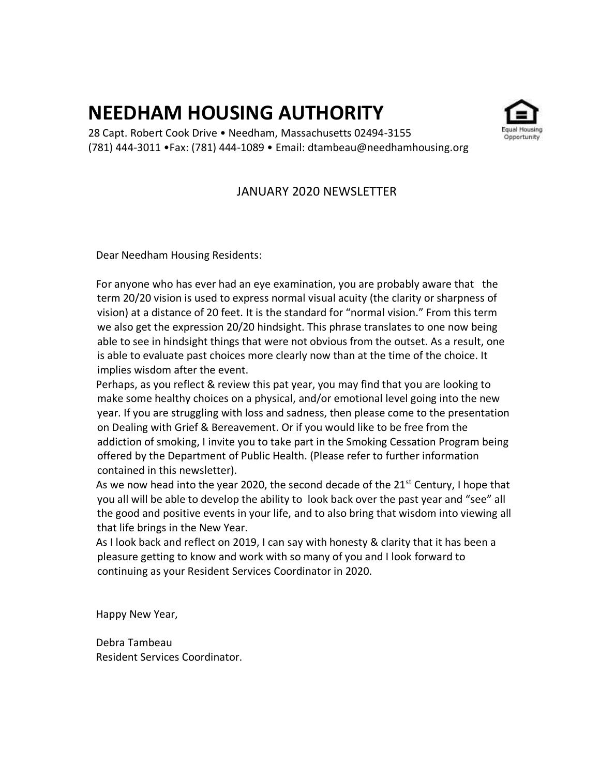# **NEEDHAM HOUSING AUTHORITY**

28 Capt. Robert Cook Drive • Needham, Massachusetts 02494-3155 (781) 444-3011 •Fax: (781) 444-1089 • Email: dtambeau@needhamhousing.org

## JANUARY 2020 NEWSLETTER

Dear Needham Housing Residents:

 For anyone who has ever had an eye examination, you are probably aware that the term 20/20 vision is used to express normal visual acuity (the clarity or sharpness of vision) at a distance of 20 feet. It is the standard for "normal vision." From this term we also get the expression 20/20 hindsight. This phrase translates to one now being able to see in hindsight things that were not obvious from the outset. As a result, one is able to evaluate past choices more clearly now than at the time of the choice. It implies wisdom after the event.

 Perhaps, as you reflect & review this pat year, you may find that you are looking to make some healthy choices on a physical, and/or emotional level going into the new year. If you are struggling with loss and sadness, then please come to the presentation on Dealing with Grief & Bereavement. Or if you would like to be free from the addiction of smoking, I invite you to take part in the Smoking Cessation Program being offered by the Department of Public Health. (Please refer to further information contained in this newsletter).

As we now head into the year 2020, the second decade of the  $21^{st}$  Century, I hope that you all will be able to develop the ability to look back over the past year and "see" all the good and positive events in your life, and to also bring that wisdom into viewing all that life brings in the New Year.

 As I look back and reflect on 2019, I can say with honesty & clarity that it has been a pleasure getting to know and work with so many of you and I look forward to continuing as your Resident Services Coordinator in 2020.

Happy New Year,

Debra Tambeau Resident Services Coordinator.

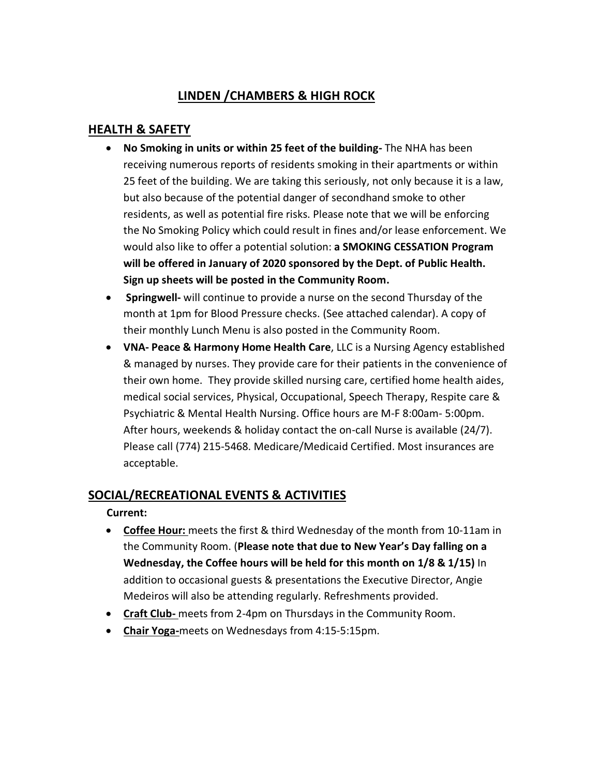# **LINDEN /CHAMBERS & HIGH ROCK**

## **HEALTH & SAFETY**

- **No Smoking in units or within 25 feet of the building-** The NHA has been receiving numerous reports of residents smoking in their apartments or within 25 feet of the building. We are taking this seriously, not only because it is a law, but also because of the potential danger of secondhand smoke to other residents, as well as potential fire risks. Please note that we will be enforcing the No Smoking Policy which could result in fines and/or lease enforcement. We would also like to offer a potential solution: **a SMOKING CESSATION Program will be offered in January of 2020 sponsored by the Dept. of Public Health. Sign up sheets will be posted in the Community Room.**
- **Springwell-** will continue to provide a nurse on the second Thursday of the month at 1pm for Blood Pressure checks. (See attached calendar). A copy of their monthly Lunch Menu is also posted in the Community Room.
- **VNA- Peace & Harmony Home Health Care**, LLC is a Nursing Agency established & managed by nurses. They provide care for their patients in the convenience of their own home. They provide skilled nursing care, certified home health aides, medical social services, Physical, Occupational, Speech Therapy, Respite care & Psychiatric & Mental Health Nursing. Office hours are M-F 8:00am- 5:00pm. After hours, weekends & holiday contact the on-call Nurse is available (24/7). Please call (774) 215-5468. Medicare/Medicaid Certified. Most insurances are acceptable.

## **SOCIAL/RECREATIONAL EVENTS & ACTIVITIES**

**Current:** 

- **Coffee Hour:** meets the first & third Wednesday of the month from 10-11am in the Community Room. (**Please note that due to New Year's Day falling on a Wednesday, the Coffee hours will be held for this month on 1/8 & 1/15)** In addition to occasional guests & presentations the Executive Director, Angie Medeiros will also be attending regularly. Refreshments provided.
- **Craft Club-** meets from 2-4pm on Thursdays in the Community Room.
- **Chair Yoga-**meets on Wednesdays from 4:15-5:15pm.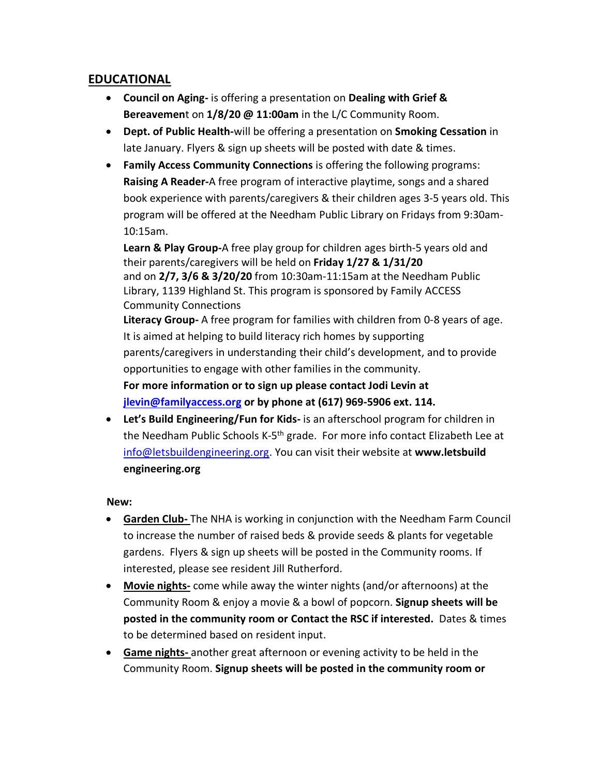## **EDUCATIONAL**

- **Council on Aging-** is offering a presentation on **Dealing with Grief & Bereavemen**t on **1/8/20 @ 11:00am** in the L/C Community Room.
- **Dept. of Public Health-**will be offering a presentation on **Smoking Cessation** in late January. Flyers & sign up sheets will be posted with date & times.
- **Family Access Community Connections** is offering the following programs: **Raising A Reader-**A free program of interactive playtime, songs and a shared book experience with parents/caregivers & their children ages 3-5 years old. This program will be offered at the Needham Public Library on Fridays from 9:30am-10:15am.

**Learn & Play Group-**A free play group for children ages birth-5 years old and their parents/caregivers will be held on **Friday 1/27 & 1/31/20** and on **2/7, 3/6 & 3/20/20** from 10:30am-11:15am at the Needham Public Library, 1139 Highland St. This program is sponsored by Family ACCESS Community Connections **Literacy Group-** A free program for families with children from 0-8 years of age.

It is aimed at helping to build literacy rich homes by supporting parents/caregivers in understanding their child's development, and to provide opportunities to engage with other families in the community.

**For more information or to sign up please contact Jodi Levin at [jlevin@familyaccess.org](mailto:jlevin@familyaccess.org) or by phone at (617) 969-5906 ext. 114.**

• **Let's Build Engineering/Fun for Kids-** is an afterschool program for children in the Needham Public Schools K-5<sup>th</sup> grade. For more info contact Elizabeth Lee at [info@letsbuildengineering.org.](mailto:info@letsbuildengineering.org) You can visit their website at **www.letsbuild engineering.org**

#### **New:**

- **Garden Club-** The NHA is working in conjunction with the Needham Farm Council to increase the number of raised beds & provide seeds & plants for vegetable gardens. Flyers & sign up sheets will be posted in the Community rooms. If interested, please see resident Jill Rutherford.
- **Movie nights-** come while away the winter nights (and/or afternoons) at the Community Room & enjoy a movie & a bowl of popcorn. **Signup sheets will be posted in the community room or Contact the RSC if interested.** Dates & times to be determined based on resident input.
- **Game nights-** another great afternoon or evening activity to be held in the Community Room. **Signup sheets will be posted in the community room or**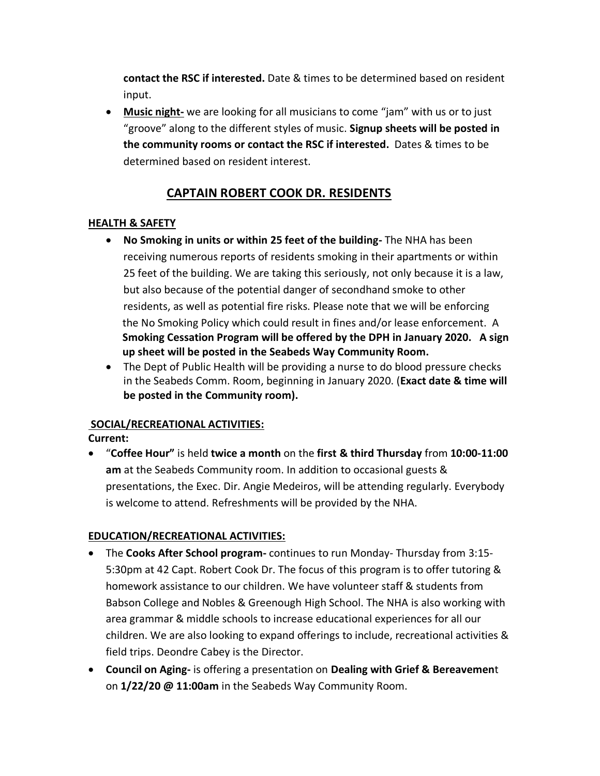**contact the RSC if interested.** Date & times to be determined based on resident input.

• **Music night-** we are looking for all musicians to come "jam" with us or to just "groove" along to the different styles of music. **Signup sheets will be posted in the community rooms or contact the RSC if interested.** Dates & times to be determined based on resident interest.

## **CAPTAIN ROBERT COOK DR. RESIDENTS**

#### **HEALTH & SAFETY**

- **No Smoking in units or within 25 feet of the building-** The NHA has been receiving numerous reports of residents smoking in their apartments or within 25 feet of the building. We are taking this seriously, not only because it is a law, but also because of the potential danger of secondhand smoke to other residents, as well as potential fire risks. Please note that we will be enforcing the No Smoking Policy which could result in fines and/or lease enforcement. A **Smoking Cessation Program will be offered by the DPH in January 2020. A sign up sheet will be posted in the Seabeds Way Community Room.**
- The Dept of Public Health will be providing a nurse to do blood pressure checks in the Seabeds Comm. Room, beginning in January 2020. (**Exact date & time will be posted in the Community room).**

#### **SOCIAL/RECREATIONAL ACTIVITIES:**

#### **Current:**

• "**Coffee Hour"** is held **twice a month** on the **first & third Thursday** from **10:00-11:00 am** at the Seabeds Community room. In addition to occasional guests & presentations, the Exec. Dir. Angie Medeiros, will be attending regularly. Everybody is welcome to attend. Refreshments will be provided by the NHA.

#### **EDUCATION/RECREATIONAL ACTIVITIES:**

- The **Cooks After School program-** continues to run Monday- Thursday from 3:15- 5:30pm at 42 Capt. Robert Cook Dr. The focus of this program is to offer tutoring & homework assistance to our children. We have volunteer staff & students from Babson College and Nobles & Greenough High School. The NHA is also working with area grammar & middle schools to increase educational experiences for all our children. We are also looking to expand offerings to include, recreational activities & field trips. Deondre Cabey is the Director.
- **Council on Aging-** is offering a presentation on **Dealing with Grief & Bereavemen**t on **1/22/20 @ 11:00am** in the Seabeds Way Community Room.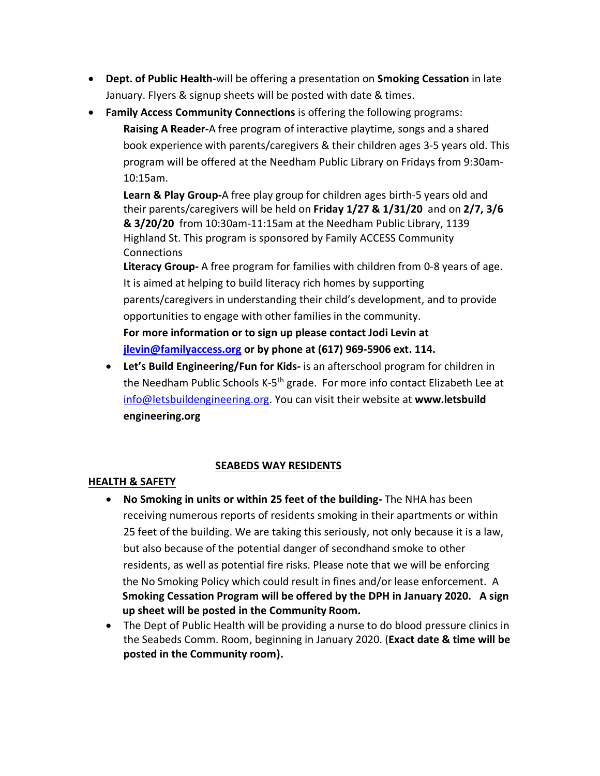- **Dept. of Public Health-**will be offering a presentation on **Smoking Cessation** in late January. Flyers & signup sheets will be posted with date & times.
- **Family Access Community Connections** is offering the following programs: **Raising A Reader-**A free program of interactive playtime, songs and a shared book experience with parents/caregivers & their children ages 3-5 years old. This program will be offered at the Needham Public Library on Fridays from 9:30am-10:15am.

**Learn & Play Group-**A free play group for children ages birth-5 years old and their parents/caregivers will be held on **Friday 1/27 & 1/31/20** and on **2/7, 3/6 & 3/20/20** from 10:30am-11:15am at the Needham Public Library, 1139 Highland St. This program is sponsored by Family ACCESS Community **Connections** 

**Literacy Group-** A free program for families with children from 0-8 years of age. It is aimed at helping to build literacy rich homes by supporting parents/caregivers in understanding their child's development, and to provide opportunities to engage with other families in the community. **For more information or to sign up please contact Jodi Levin at [jlevin@familyaccess.org](mailto:jlevin@familyaccess.org) or by phone at (617) 969-5906 ext. 114.**

• **Let's Build Engineering/Fun for Kids-** is an afterschool program for children in the Needham Public Schools K-5<sup>th</sup> grade. For more info contact Elizabeth Lee at [info@letsbuildengineering.org.](mailto:info@letsbuildengineering.org) You can visit their website at **www.letsbuild engineering.org**

## **SEABEDS WAY RESIDENTS**

#### **HEALTH & SAFETY**

- **No Smoking in units or within 25 feet of the building-** The NHA has been receiving numerous reports of residents smoking in their apartments or within 25 feet of the building. We are taking this seriously, not only because it is a law, but also because of the potential danger of secondhand smoke to other residents, as well as potential fire risks. Please note that we will be enforcing the No Smoking Policy which could result in fines and/or lease enforcement. A **Smoking Cessation Program will be offered by the DPH in January 2020. A sign up sheet will be posted in the Community Room.**
- The Dept of Public Health will be providing a nurse to do blood pressure clinics in the Seabeds Comm. Room, beginning in January 2020. (**Exact date & time will be posted in the Community room).**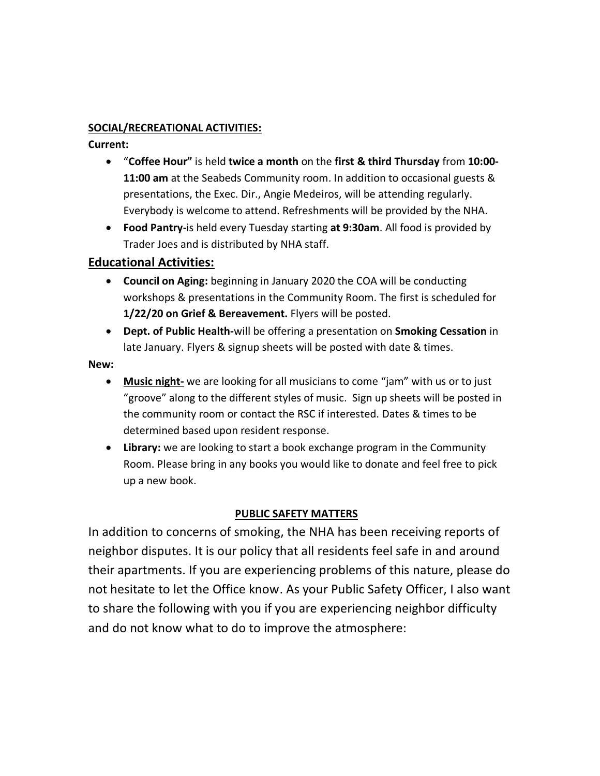#### **SOCIAL/RECREATIONAL ACTIVITIES:**

**Current:** 

- "**Coffee Hour"** is held **twice a month** on the **first & third Thursday** from **10:00- 11:00 am** at the Seabeds Community room. In addition to occasional guests & presentations, the Exec. Dir., Angie Medeiros, will be attending regularly. Everybody is welcome to attend. Refreshments will be provided by the NHA.
- **Food Pantry-**is held every Tuesday starting **at 9:30am**. All food is provided by Trader Joes and is distributed by NHA staff.

## **Educational Activities:**

- **Council on Aging:** beginning in January 2020 the COA will be conducting workshops & presentations in the Community Room. The first is scheduled for **1/22/20 on Grief & Bereavement.** Flyers will be posted.
- **Dept. of Public Health-**will be offering a presentation on **Smoking Cessation** in late January. Flyers & signup sheets will be posted with date & times.

#### **New:**

- **Music night-** we are looking for all musicians to come "jam" with us or to just "groove" along to the different styles of music. Sign up sheets will be posted in the community room or contact the RSC if interested. Dates & times to be determined based upon resident response.
- **Library:** we are looking to start a book exchange program in the Community Room. Please bring in any books you would like to donate and feel free to pick up a new book.

#### **PUBLIC SAFETY MATTERS**

In addition to concerns of smoking, the NHA has been receiving reports of neighbor disputes. It is our policy that all residents feel safe in and around their apartments. If you are experiencing problems of this nature, please do not hesitate to let the Office know. As your Public Safety Officer, I also want to share the following with you if you are experiencing neighbor difficulty and do not know what to do to improve the atmosphere: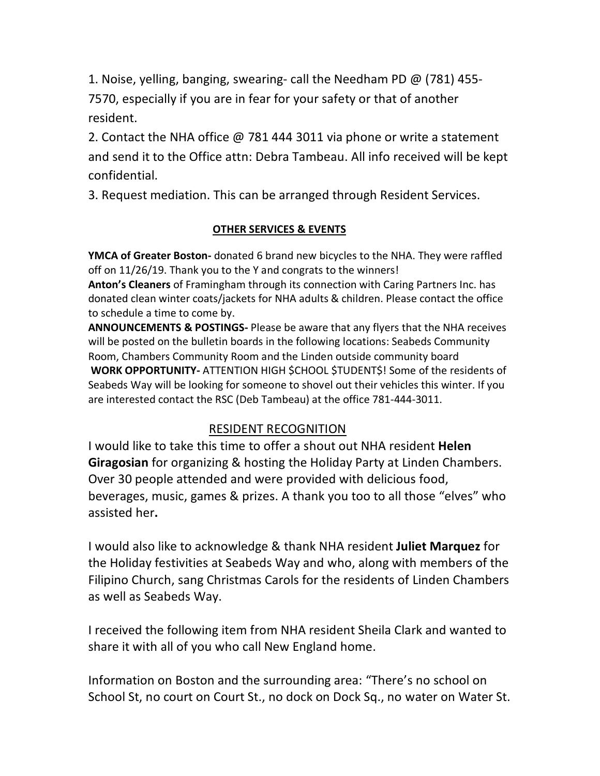1. Noise, yelling, banging, swearing- call the Needham PD @ (781) 455- 7570, especially if you are in fear for your safety or that of another resident.

2. Contact the NHA office @ 781 444 3011 via phone or write a statement and send it to the Office attn: Debra Tambeau. All info received will be kept confidential.

3. Request mediation. This can be arranged through Resident Services.

## **OTHER SERVICES & EVENTS**

**YMCA of Greater Boston-** donated 6 brand new bicycles to the NHA. They were raffled off on 11/26/19. Thank you to the Y and congrats to the winners!

**Anton's Cleaners** of Framingham through its connection with Caring Partners Inc. has donated clean winter coats/jackets for NHA adults & children. Please contact the office to schedule a time to come by.

**ANNOUNCEMENTS & POSTINGS-** Please be aware that any flyers that the NHA receives will be posted on the bulletin boards in the following locations: Seabeds Community Room, Chambers Community Room and the Linden outside community board **WORK OPPORTUNITY-** ATTENTION HIGH \$CHOOL \$TUDENT\$! Some of the residents of Seabeds Way will be looking for someone to shovel out their vehicles this winter. If you are interested contact the RSC (Deb Tambeau) at the office 781-444-3011.

# RESIDENT RECOGNITION

I would like to take this time to offer a shout out NHA resident **Helen Giragosian** for organizing & hosting the Holiday Party at Linden Chambers. Over 30 people attended and were provided with delicious food, beverages, music, games & prizes. A thank you too to all those "elves" who assisted her**.**

I would also like to acknowledge & thank NHA resident **Juliet Marquez** for the Holiday festivities at Seabeds Way and who, along with members of the Filipino Church, sang Christmas Carols for the residents of Linden Chambers as well as Seabeds Way.

I received the following item from NHA resident Sheila Clark and wanted to share it with all of you who call New England home.

Information on Boston and the surrounding area: "There's no school on School St, no court on Court St., no dock on Dock Sq., no water on Water St.